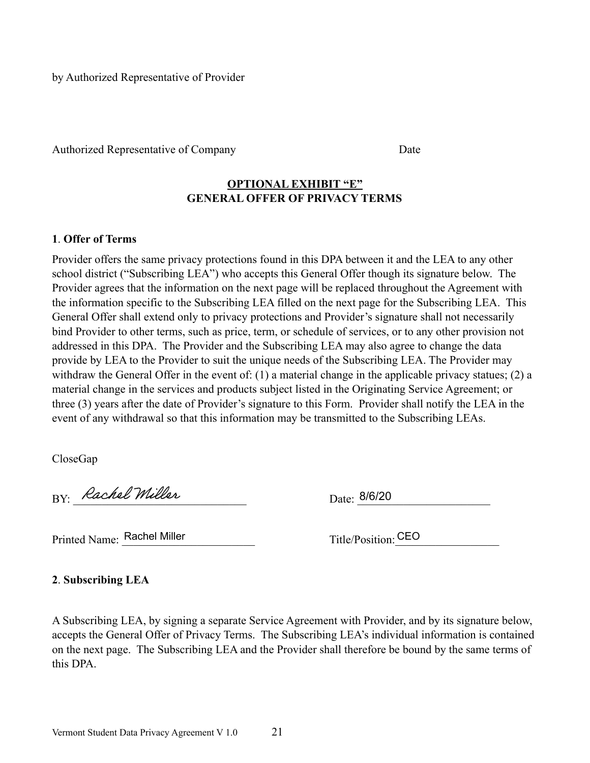by Authorized Representative of Provider

Authorized Representative of Company Date

## **OPTIONAL EXHIBIT "E" GENERAL OFFER OF PRIVACY TERMS**

## **1**. **Offer of Terms**

Provider offers the same privacy protections found in this DPA between it and the LEA to any other school district ("Subscribing LEA") who accepts this General Offer though its signature below. The Provider agrees that the information on the next page will be replaced throughout the Agreement with the information specific to the Subscribing LEA filled on the next page for the Subscribing LEA. This General Offer shall extend only to privacy protections and Provider's signature shall not necessarily bind Provider to other terms, such as price, term, or schedule of services, or to any other provision not addressed in this DPA. The Provider and the Subscribing LEA may also agree to change the data provide by LEA to the Provider to suit the unique needs of the Subscribing LEA. The Provider may withdraw the General Offer in the event of: (1) a material change in the applicable privacy statues; (2) a material change in the services and products subject listed in the Originating Service Agreement; or three (3) years after the date of Provider's signature to this Form. Provider shall notify the LEA in the event of any withdrawal so that this information may be transmitted to the Subscribing LEAs.

CloseGap

BY: Rachel Miller

Date: 8/6/20

Printed Name: Rachel Miller

Title/Position: CEO

**2**. **Subscribing LEA**

A Subscribing LEA, by signing a separate Service Agreement with Provider, and by its signature below, accepts the General Offer of Privacy Terms. The Subscribing LEA's individual information is contained on the next page. The Subscribing LEA and the Provider shall therefore be bound by the same terms of this DPA.